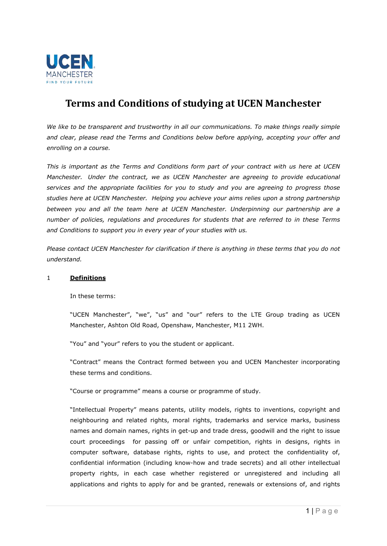

# **Terms and Conditions of studying at UCEN Manchester**

We like to be transparent and trustworthy in all our communications. To make things really simple *and clear, please read the Terms and Conditions below before applying, accepting your offer and enrolling on a course.* 

*This is important as the Terms and Conditions form part of your contract with us here at UCEN Manchester. Under the contract, we as UCEN Manchester are agreeing to provide educational services and the appropriate facilities for you to study and you are agreeing to progress those studies here at UCEN Manchester. Helping you achieve your aims relies upon a strong partnership between you and all the team here at UCEN Manchester. Underpinning our partnership are a number of policies, regulations and procedures for students that are referred to in these Terms and Conditions to support you in every year of your studies with us.*

*Please contact UCEN Manchester for clarification if there is anything in these terms that you do not understand.* 

#### 1 **Definitions**

In these terms:

"UCEN Manchester", "we", "us" and "our" refers to the LTE Group trading as UCEN Manchester, Ashton Old Road, Openshaw, Manchester, M11 2WH.

"You" and "your" refers to you the student or applicant.

"Contract" means the Contract formed between you and UCEN Manchester incorporating these terms and conditions.

"Course or programme" means a course or programme of study.

"Intellectual Property" means patents, utility models, rights to inventions, copyright and neighbouring and related rights, moral rights, trademarks and service marks, business names and domain names, rights in get-up and trade dress, goodwill and the right to issue court proceedings for passing off or unfair competition, rights in designs, rights in computer software, database rights, rights to use, and protect the confidentiality of, confidential information (including know-how and trade secrets) and all other intellectual property rights, in each case whether registered or unregistered and including all applications and rights to apply for and be granted, renewals or extensions of, and rights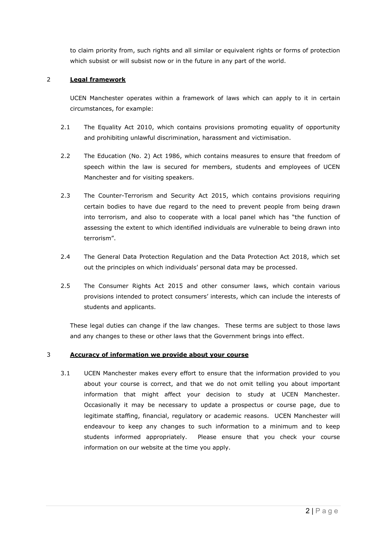to claim priority from, such rights and all similar or equivalent rights or forms of protection which subsist or will subsist now or in the future in any part of the world.

## 2 **Legal framework**

UCEN Manchester operates within a framework of laws which can apply to it in certain circumstances, for example:

- 2.1 The Equality Act 2010, which contains provisions promoting equality of opportunity and prohibiting unlawful discrimination, harassment and victimisation.
- 2.2 The Education (No. 2) Act 1986, which contains measures to ensure that freedom of speech within the law is secured for members, students and employees of UCEN Manchester and for visiting speakers.
- 2.3 The Counter-Terrorism and Security Act 2015, which contains provisions requiring certain bodies to have due regard to the need to prevent people from being drawn into terrorism, and also to cooperate with a local panel which has "the function of assessing the extent to which identified individuals are vulnerable to being drawn into terrorism".
- 2.4 The General Data Protection Regulation and the Data Protection Act 2018, which set out the principles on which individuals' personal data may be processed.
- 2.5 The Consumer Rights Act 2015 and other consumer laws, which contain various provisions intended to protect consumers' interests, which can include the interests of students and applicants.

These legal duties can change if the law changes. These terms are subject to those laws and any changes to these or other laws that the Government brings into effect.

# 3 **Accuracy of information we provide about your course**

3.1 UCEN Manchester makes every effort to ensure that the information provided to you about your course is correct, and that we do not omit telling you about important information that might affect your decision to study at UCEN Manchester. Occasionally it may be necessary to update a prospectus or course page, due to legitimate staffing, financial, regulatory or academic reasons. UCEN Manchester will endeavour to keep any changes to such information to a minimum and to keep students informed appropriately.Please ensure that you check your course information on our website at the time you apply.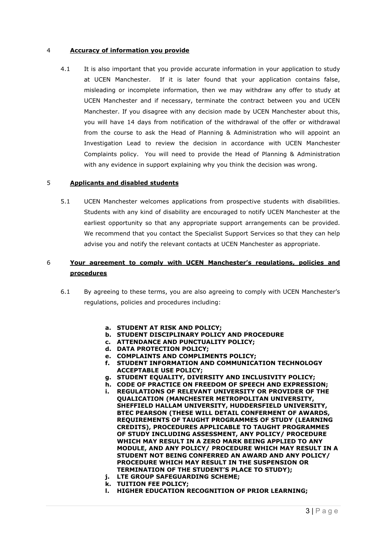#### 4 **Accuracy of information you provide**

4.1 It is also important that you provide accurate information in your application to study at UCEN Manchester. If it is later found that your application contains false, misleading or incomplete information, then we may withdraw any offer to study at UCEN Manchester and if necessary, terminate the contract between you and UCEN Manchester. If you disagree with any decision made by UCEN Manchester about this, you will have 14 days from notification of the withdrawal of the offer or withdrawal from the course to ask the Head of Planning & Administration who will appoint an Investigation Lead to review the decision in accordance with UCEN Manchester Complaints policy. You will need to provide the Head of Planning & Administration with any evidence in support explaining why you think the decision was wrong.

#### 5 **Applicants and disabled students**

5.1 UCEN Manchester welcomes applications from prospective students with disabilities. Students with any kind of disability are encouraged to notify UCEN Manchester at the earliest opportunity so that any appropriate support arrangements can be provided. We recommend that you contact the Specialist Support Services so that they can help advise you and notify the relevant contacts at UCEN Manchester as appropriate.

# 6 **Your agreement to comply with UCEN Manchester's regulations, policies and procedures**

- 6.1 By agreeing to these terms, you are also agreeing to comply with UCEN Manchester's regulations, policies and procedures including:
	- **a. STUDENT AT RISK AND POLICY;**
	- **b. STUDENT DISCIPLINARY POLICY AND PROCEDURE**
	- **c. ATTENDANCE AND PUNCTUALITY POLICY;**
	- **d. DATA PROTECTION POLICY;**
	- **e. COMPLAINTS AND COMPLIMENTS POLICY;**
	- **f. STUDENT INFORMATION AND COMMUNICATION TECHNOLOGY ACCEPTABLE USE POLICY;**
	- **g. STUDENT EQUALITY, DIVERSITY AND INCLUSIVITY POLICY;**
	- **h. CODE OF PRACTICE ON FREEDOM OF SPEECH AND EXPRESSION;**
	- **i. REGULATIONS OF RELEVANT UNIVERSITY OR PROVIDER OF THE QUALICATION (MANCHESTER METROPOLITAN UNIVERSITY, SHEFFIELD HALLAM UNIVERSITY, HUDDERSFIELD UNIVERSITY, BTEC PEARSON (THESE WILL DETAIL CONFERMENT OF AWARDS, REQUIREMENTS OF TAUGHT PROGRAMMES OF STUDY (LEARNING CREDITS), PROCEDURES APPLICABLE TO TAUGHT PROGRAMMES OF STUDY INCLUDING ASSESSMENT, ANY POLICY/ PROCEDURE WHICH MAY RESULT IN A ZERO MARK BEING APPLIED TO ANY MODULE, AND ANY POLICY/ PROCEDURE WHICH MAY RESULT IN A STUDENT NOT BEING CONFERRED AN AWARD AND ANY POLICY/ PROCEDURE WHICH MAY RESULT IN THE SUSPENSION OR TERMINATION OF THE STUDENT'S PLACE TO STUDY); j. LTE GROUP SAFEGUARDING SCHEME;**
	- **k. TUITION FEE POLICY;**
	- **l. HIGHER EDUCATION RECOGNITION OF PRIOR LEARNING;**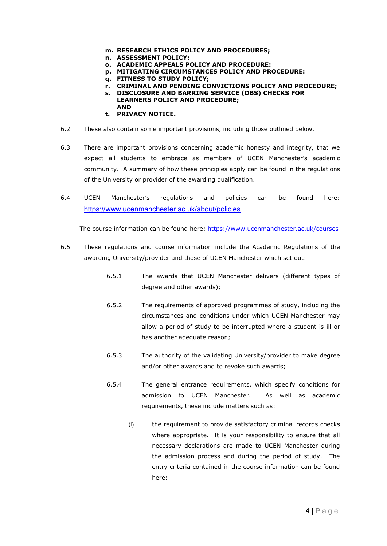- **m. RESEARCH ETHICS POLICY AND PROCEDURES;**
- **n. ASSESSMENT POLICY:**
- **o. ACADEMIC APPEALS POLICY AND PROCEDURE:**
- **p. MITIGATING CIRCUMSTANCES POLICY AND PROCEDURE:**
- **q. FITNESS TO STUDY POLICY;**
- **r. CRIMINAL AND PENDING CONVICTIONS POLICY AND PROCEDURE;**
- **s. DISCLOSURE AND BARRING SERVICE (DBS) CHECKS FOR LEARNERS POLICY AND PROCEDURE; AND**
- **t. PRIVACY NOTICE.**
- 6.2 These also contain some important provisions, including those outlined below.
- 6.3 There are important provisions concerning academic honesty and integrity, that we expect all students to embrace as members of UCEN Manchester's academic community. A summary of how these principles apply can be found in the regulations of the University or provider of the awarding qualification.
- 6.4 UCEN Manchester's regulations and policies can be found here: <https://www.ucenmanchester.ac.uk/about/policies>

The course information can be found here: <https://www.ucenmanchester.ac.uk/courses>

- 6.5 These regulations and course information include the Academic Regulations of the awarding University/provider and those of UCEN Manchester which set out:
	- 6.5.1 The awards that UCEN Manchester delivers (different types of degree and other awards);
	- 6.5.2 The requirements of approved programmes of study, including the circumstances and conditions under which UCEN Manchester may allow a period of study to be interrupted where a student is ill or has another adequate reason;
	- 6.5.3 The authority of the validating University/provider to make degree and/or other awards and to revoke such awards;
	- 6.5.4 The general entrance requirements, which specify conditions for admission to UCEN Manchester. As well as academic requirements, these include matters such as:
		- (i) the requirement to provide satisfactory criminal records checks where appropriate. It is your responsibility to ensure that all necessary declarations are made to UCEN Manchester during the admission process and during the period of study. The entry criteria contained in the course information can be found here: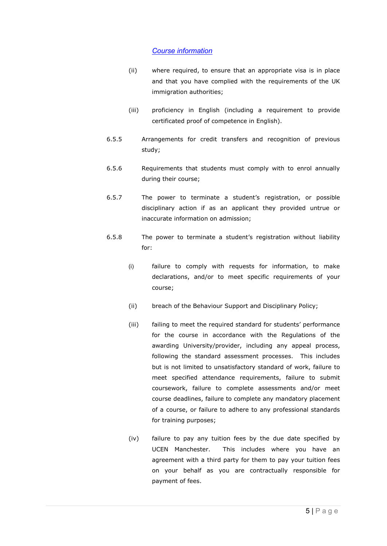# *[Course information](https://ucenmcr.tmc.ac.uk/courses)*

- (ii) where required, to ensure that an appropriate visa is in place and that you have complied with the requirements of the UK immigration authorities;
- (iii) proficiency in English (including a requirement to provide certificated proof of competence in English).
- 6.5.5 Arrangements for credit transfers and recognition of previous study;
- 6.5.6 Requirements that students must comply with to enrol annually during their course;
- 6.5.7 The power to terminate a student's registration, or possible disciplinary action if as an applicant they provided untrue or inaccurate information on admission;
- 6.5.8 The power to terminate a student's registration without liability for:
	- (i) failure to comply with requests for information, to make declarations, and/or to meet specific requirements of your course;
	- (ii) breach of the Behaviour Support and Disciplinary Policy;
	- (iii) failing to meet the required standard for students' performance for the course in accordance with the Regulations of the awarding University/provider, including any appeal process, following the standard assessment processes. This includes but is not limited to unsatisfactory standard of work, failure to meet specified attendance requirements, failure to submit coursework, failure to complete assessments and/or meet course deadlines, failure to complete any mandatory placement of a course, or failure to adhere to any professional standards for training purposes;
	- (iv) failure to pay any tuition fees by the due date specified by UCEN Manchester. This includes where you have an agreement with a third party for them to pay your tuition fees on your behalf as you are contractually responsible for payment of fees.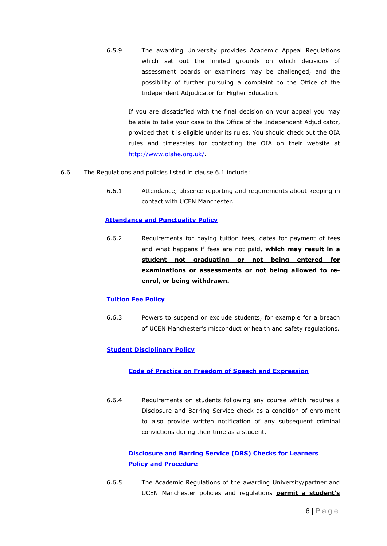6.5.9 The awarding University provides Academic Appeal Regulations which set out the limited grounds on which decisions of assessment boards or examiners may be challenged, and the possibility of further pursuing a complaint to the Office of the Independent Adjudicator for Higher Education.

If you are dissatisfied with the final decision on your appeal you may be able to take your case to the Office of the Independent Adjudicator, provided that it is eligible under its rules. You should check out the OIA rules and timescales for contacting the OIA on their website at http://www.oiahe.org.uk/.

- 6.6 The Regulations and policies listed in clause 6.1 include:
	- 6.6.1 Attendance, absence reporting and requirements about keeping in contact with UCEN Manchester.

## **[Attendance and Punctuality Policy](https://www.ucenmanchester.ac.uk/about/policies/general)**

6.6.2 Requirements for paying tuition fees, dates for payment of fees and what happens if fees are not paid, **which may result in a student not graduating or not being entered for examinations or assessments or not being allowed to reenrol, or being withdrawn.**

# **[Tuition Fee Policy](https://www.ucenmanchester.ac.uk/about/policies/he)**

6.6.3 Powers to suspend or exclude students, for example for a breach of UCEN Manchester's misconduct or health and safety regulations.

# **[Student Disciplinary Policy](https://www.ucenmanchester.ac.uk/about/policies/general)**

#### **[Code of Practice on Freedom of Speech and Expression](https://www.ucenmanchester.ac.uk/about/policies/general)**

6.6.4 Requirements on students following any course which requires a Disclosure and Barring Service check as a condition of enrolment to also provide written notification of any subsequent criminal convictions during their time as a student.

# **[Disclosure and Barring Service \(DBS\) Checks for Learners](https://www.ucenmanchester.ac.uk/about/policies/general)  [Policy and Procedure](https://www.ucenmanchester.ac.uk/about/policies/general)**

6.6.5 The Academic Regulations of the awarding University/partner and UCEN Manchester policies and regulations **permit a student's**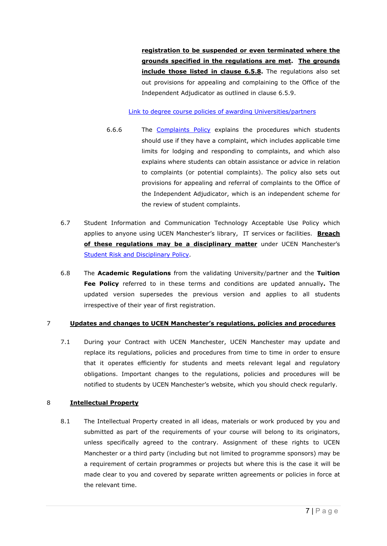**registration to be suspended or even terminated where the grounds specified in the regulations are met. The grounds include those listed in clause 6.5.8.** The regulations also set out provisions for appealing and complaining to the Office of the Independent Adjudicator as outlined in clause 6.5.9.

[Link to degree course policies of awarding Universities/partners](https://ucenmcr.tmc.ac.uk/about/degree-course-policies)

- 6.6.6 The [Complaints Policy](https://www.ucenmanchester.ac.uk/about/policies/general) explains the procedures which students should use if they have a complaint, which includes applicable time limits for lodging and responding to complaints, and which also explains where students can obtain assistance or advice in relation to complaints (or potential complaints). The policy also sets out provisions for appealing and referral of complaints to the Office of the Independent Adjudicator, which is an independent scheme for the review of student complaints.
- 6.7 Student Information and Communication Technology Acceptable Use Policy which applies to anyone using UCEN Manchester's library, IT services or facilities. **Breach of these regulations may be a disciplinary matter** under UCEN Manchester's [Student Risk and Disciplinary Policy.](https://www.ucenmanchester.ac.uk/about/policies/general)
- 6.8 The **Academic Regulations** from the validating University/partner and the **Tuition Fee Policy** referred to in these terms and conditions are updated annually**.** The updated version supersedes the previous version and applies to all students irrespective of their year of first registration.

# 7 **Updates and changes to UCEN Manchester's regulations, policies and procedures**

7.1 During your Contract with UCEN Manchester, UCEN Manchester may update and replace its regulations, policies and procedures from time to time in order to ensure that it operates efficiently for students and meets relevant legal and regulatory obligations. Important changes to the regulations, policies and procedures will be notified to students by UCEN Manchester's website, which you should check regularly.

# 8 **Intellectual Property**

8.1 The Intellectual Property created in all ideas, materials or work produced by you and submitted as part of the requirements of your course will belong to its originators, unless specifically agreed to the contrary. Assignment of these rights to UCEN Manchester or a third party (including but not limited to programme sponsors) may be a requirement of certain programmes or projects but where this is the case it will be made clear to you and covered by separate written agreements or policies in force at the relevant time.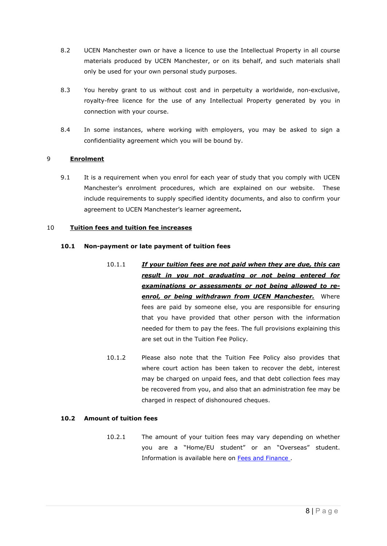- 8.2 UCEN Manchester own or have a licence to use the Intellectual Property in all course materials produced by UCEN Manchester, or on its behalf, and such materials shall only be used for your own personal study purposes.
- 8.3 You hereby grant to us without cost and in perpetuity a worldwide, non-exclusive, royalty-free licence for the use of any Intellectual Property generated by you in connection with your course.
- 8.4 In some instances, where working with employers, you may be asked to sign a confidentiality agreement which you will be bound by.

# 9 **Enrolment**

9.1 It is a requirement when you enrol for each year of study that you comply with UCEN Manchester's enrolment procedures, which are explained on our website. These include requirements to supply specified identity documents, and also to confirm your agreement to UCEN Manchester's learner agreement**.**

#### 10 **Tuition fees and tuition fee increases**

#### **10.1 Non-payment or late payment of tuition fees**

- 10.1.1 *If your tuition fees are not paid when they are due, this can result in you not graduating or not being entered for examinations or assessments or not being allowed to reenrol, or being withdrawn from UCEN Manchester.* Where fees are paid by someone else, you are responsible for ensuring that you have provided that other person with the information needed for them to pay the fees. The full provisions explaining this are set out in the Tuition Fee Policy.
- 10.1.2 Please also note that the Tuition Fee Policy also provides that where court action has been taken to recover the debt, interest may be charged on unpaid fees, and that debt collection fees may be recovered from you, and also that an administration fee may be charged in respect of dishonoured cheques.

#### **10.2 Amount of tuition fees**

10.2.1 The amount of your tuition fees may vary depending on whether you are a "Home/EU student" or an "Overseas" student. Information is available here on [Fees and Finance .](https://ucenmcr.tmc.ac.uk/study/fees-and-finance)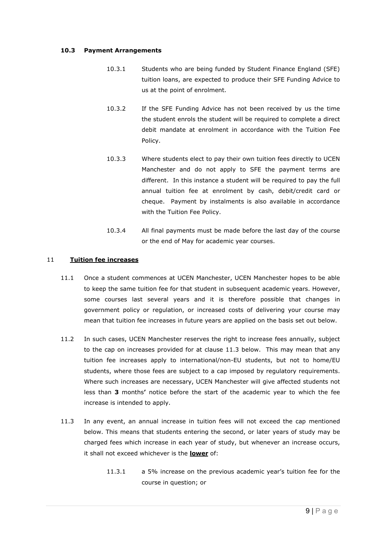#### **10.3 Payment Arrangements**

- 10.3.1 Students who are being funded by Student Finance England (SFE) tuition loans, are expected to produce their SFE Funding Advice to us at the point of enrolment.
- 10.3.2 If the SFE Funding Advice has not been received by us the time the student enrols the student will be required to complete a direct debit mandate at enrolment in accordance with the Tuition Fee Policy.
- 10.3.3 Where students elect to pay their own tuition fees directly to UCEN Manchester and do not apply to SFE the payment terms are different. In this instance a student will be required to pay the full annual tuition fee at enrolment by cash, debit/credit card or cheque. Payment by instalments is also available in accordance with the Tuition Fee Policy.
- 10.3.4 All final payments must be made before the last day of the course or the end of May for academic year courses.

#### 11 **Tuition fee increases**

- 11.1 Once a student commences at UCEN Manchester, UCEN Manchester hopes to be able to keep the same tuition fee for that student in subsequent academic years. However, some courses last several years and it is therefore possible that changes in government policy or regulation, or increased costs of delivering your course may mean that tuition fee increases in future years are applied on the basis set out below.
- 11.2 In such cases, UCEN Manchester reserves the right to increase fees annually, subject to the cap on increases provided for at clause 11.3 below. This may mean that any tuition fee increases apply to international/non-EU students, but not to home/EU students, where those fees are subject to a cap imposed by regulatory requirements. Where such increases are necessary, UCEN Manchester will give affected students not less than **3** months**'** notice before the start of the academic year to which the fee increase is intended to apply.
- 11.3 In any event, an annual increase in tuition fees will not exceed the cap mentioned below. This means that students entering the second, or later years of study may be charged fees which increase in each year of study, but whenever an increase occurs, it shall not exceed whichever is the **lower** of:
	- 11.3.1 a 5% increase on the previous academic year's tuition fee for the course in question; or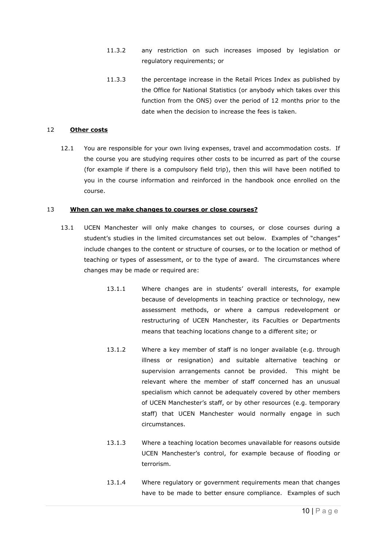- 11.3.2 any restriction on such increases imposed by legislation or regulatory requirements; or
- 11.3.3 the percentage increase in the Retail Prices Index as published by the Office for National Statistics (or anybody which takes over this function from the ONS) over the period of 12 months prior to the date when the decision to increase the fees is taken.

#### 12 **Other costs**

12.1 You are responsible for your own living expenses, travel and accommodation costs. If the course you are studying requires other costs to be incurred as part of the course (for example if there is a compulsory field trip), then this will have been notified to you in the course information and reinforced in the handbook once enrolled on the course.

#### 13 **When can we make changes to courses or close courses?**

- 13.1 UCEN Manchester will only make changes to courses, or close courses during a student's studies in the limited circumstances set out below. Examples of "changes" include changes to the content or structure of courses, or to the location or method of teaching or types of assessment, or to the type of award. The circumstances where changes may be made or required are:
	- 13.1.1 Where changes are in students' overall interests, for example because of developments in teaching practice or technology, new assessment methods, or where a campus redevelopment or restructuring of UCEN Manchester, its Faculties or Departments means that teaching locations change to a different site; or
	- 13.1.2 Where a key member of staff is no longer available (e.g. through illness or resignation) and suitable alternative teaching or supervision arrangements cannot be provided. This might be relevant where the member of staff concerned has an unusual specialism which cannot be adequately covered by other members of UCEN Manchester's staff, or by other resources (e.g. temporary staff) that UCEN Manchester would normally engage in such circumstances.
	- 13.1.3 Where a teaching location becomes unavailable for reasons outside UCEN Manchester's control, for example because of flooding or terrorism.
	- 13.1.4 Where regulatory or government requirements mean that changes have to be made to better ensure compliance. Examples of such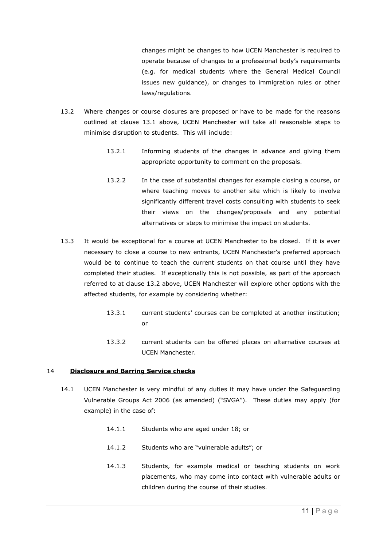changes might be changes to how UCEN Manchester is required to operate because of changes to a professional body's requirements (e.g. for medical students where the General Medical Council issues new guidance), or changes to immigration rules or other laws/regulations.

- 13.2 Where changes or course closures are proposed or have to be made for the reasons outlined at clause 13.1 above, UCEN Manchester will take all reasonable steps to minimise disruption to students. This will include:
	- 13.2.1 Informing students of the changes in advance and giving them appropriate opportunity to comment on the proposals.
	- 13.2.2 In the case of substantial changes for example closing a course, or where teaching moves to another site which is likely to involve significantly different travel costs consulting with students to seek their views on the changes/proposals and any potential alternatives or steps to minimise the impact on students.
- 13.3 It would be exceptional for a course at UCEN Manchester to be closed. If it is ever necessary to close a course to new entrants, UCEN Manchester's preferred approach would be to continue to teach the current students on that course until they have completed their studies. If exceptionally this is not possible, as part of the approach referred to at clause 13.2 above, UCEN Manchester will explore other options with the affected students, for example by considering whether:
	- 13.3.1 current students' courses can be completed at another institution; or
	- 13.3.2 current students can be offered places on alternative courses at UCEN Manchester.

#### 14 **Disclosure and Barring Service checks**

- 14.1 UCEN Manchester is very mindful of any duties it may have under the Safeguarding Vulnerable Groups Act 2006 (as amended) ("SVGA"). These duties may apply (for example) in the case of:
	- 14.1.1 Students who are aged under 18; or
	- 14.1.2 Students who are "vulnerable adults"; or
	- 14.1.3 Students, for example medical or teaching students on work placements, who may come into contact with vulnerable adults or children during the course of their studies.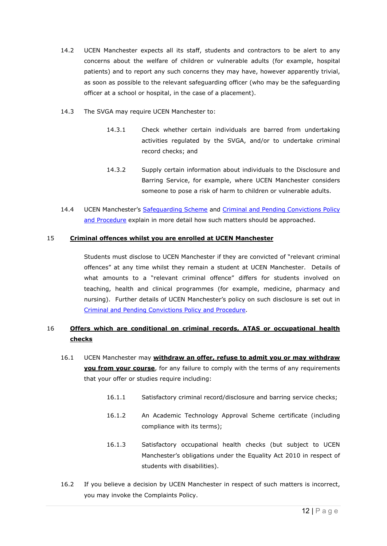- 14.2 UCEN Manchester expects all its staff, students and contractors to be alert to any concerns about the welfare of children or vulnerable adults (for example, hospital patients) and to report any such concerns they may have, however apparently trivial, as soon as possible to the relevant safeguarding officer (who may be the safeguarding officer at a school or hospital, in the case of a placement).
- 14.3 The SVGA may require UCEN Manchester to:
	- 14.3.1 Check whether certain individuals are barred from undertaking activities regulated by the SVGA, and/or to undertake criminal record checks; and
	- 14.3.2 Supply certain information about individuals to the Disclosure and Barring Service, for example, where UCEN Manchester considers someone to pose a risk of harm to children or vulnerable adults.
- 14.4 UCEN Manchester's [Safeguarding Scheme](https://www.ucenmanchester.ac.uk/about/safeguarding) and Criminal and Pending Convictions Policy [and Procedure](https://www.ucenmanchester.ac.uk/about/policies/general) explain in more detail how such matters should be approached.

## 15 **Criminal offences whilst you are enrolled at UCEN Manchester**

Students must disclose to UCEN Manchester if they are convicted of "relevant criminal offences" at any time whilst they remain a student at UCEN Manchester. Details of what amounts to a "relevant criminal offence" differs for students involved on teaching, health and clinical programmes (for example, medicine, pharmacy and nursing). Further details of UCEN Manchester's policy on such disclosure is set out in [Criminal and Pending Convictions Policy and Procedure.](https://www.ucenmanchester.ac.uk/about/policies/general)

# 16 **Offers which are conditional on criminal records, ATAS or occupational health checks**

- 16.1 UCEN Manchester may **withdraw an offer, refuse to admit you or may withdraw you from your course**, for any failure to comply with the terms of any requirements that your offer or studies require including:
	- 16.1.1 Satisfactory criminal record/disclosure and barring service checks;
	- 16.1.2 An Academic Technology Approval Scheme certificate (including compliance with its terms);
	- 16.1.3 Satisfactory occupational health checks (but subject to UCEN Manchester's obligations under the Equality Act 2010 in respect of students with disabilities).
- 16.2 If you believe a decision by UCEN Manchester in respect of such matters is incorrect, you may invoke the Complaints Policy.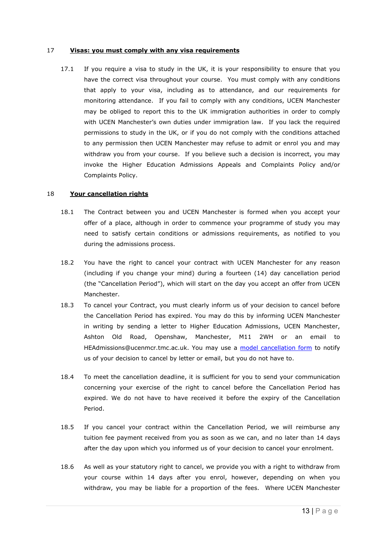#### 17 **Visas: you must comply with any visa requirements**

17.1 If you require a visa to study in the UK, it is your responsibility to ensure that you have the correct visa throughout your course. You must comply with any conditions that apply to your visa, including as to attendance, and our requirements for monitoring attendance. If you fail to comply with any conditions, UCEN Manchester may be obliged to report this to the UK immigration authorities in order to comply with UCEN Manchester's own duties under immigration law. If you lack the required permissions to study in the UK, or if you do not comply with the conditions attached to any permission then UCEN Manchester may refuse to admit or enrol you and may withdraw you from your course. If you believe such a decision is incorrect, you may invoke the Higher Education Admissions Appeals and Complaints Policy and/or Complaints Policy.

#### 18 **Your cancellation rights**

- 18.1 The Contract between you and UCEN Manchester is formed when you accept your offer of a place, although in order to commence your programme of study you may need to satisfy certain conditions or admissions requirements, as notified to you during the admissions process.
- 18.2 You have the right to cancel your contract with UCEN Manchester for any reason (including if you change your mind) during a fourteen (14) day cancellation period (the "Cancellation Period"), which will start on the day you accept an offer from UCEN Manchester.
- 18.3 To cancel your Contract, you must clearly inform us of your decision to cancel before the Cancellation Period has expired. You may do this by informing UCEN Manchester in writing by sending a letter to Higher Education Admissions, UCEN Manchester, Ashton Old Road, Openshaw, Manchester, M11 2WH or an email to HEAdmissions@ucenmcr.tmc.ac.uk. You may use a [model cancellation form](https://ucenmcr.tmc.ac.uk/sites/default/files/policies/Model%20Cancellation%20Form%20-%20%20-FINAL%20REBRANDED.pdf) to notify us of your decision to cancel by letter or email, but you do not have to.
- 18.4 To meet the cancellation deadline, it is sufficient for you to send your communication concerning your exercise of the right to cancel before the Cancellation Period has expired. We do not have to have received it before the expiry of the Cancellation Period.
- 18.5 If you cancel your contract within the Cancellation Period, we will reimburse any tuition fee payment received from you as soon as we can, and no later than 14 days after the day upon which you informed us of your decision to cancel your enrolment.
- 18.6 As well as your statutory right to cancel, we provide you with a right to withdraw from your course within 14 days after you enrol, however, depending on when you withdraw, you may be liable for a proportion of the fees. Where UCEN Manchester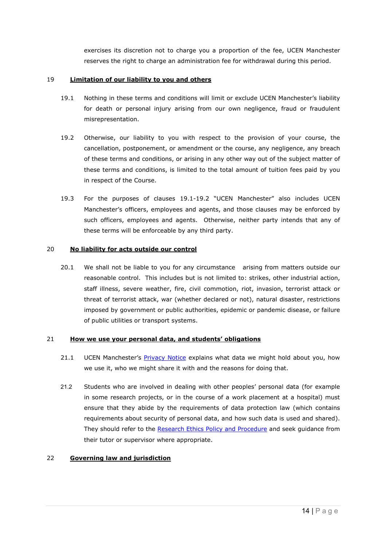exercises its discretion not to charge you a proportion of the fee, UCEN Manchester reserves the right to charge an administration fee for withdrawal during this period.

#### 19 **Limitation of our liability to you and others**

- 19.1 Nothing in these terms and conditions will limit or exclude UCEN Manchester's liability for death or personal injury arising from our own negligence, fraud or fraudulent misrepresentation.
- 19.2 Otherwise, our liability to you with respect to the provision of your course, the cancellation, postponement, or amendment or the course, any negligence, any breach of these terms and conditions, or arising in any other way out of the subject matter of these terms and conditions, is limited to the total amount of tuition fees paid by you in respect of the Course.
- 19.3 For the purposes of clauses 19.1-19.2 "UCEN Manchester" also includes UCEN Manchester's officers, employees and agents, and those clauses may be enforced by such officers, employees and agents. Otherwise, neither party intends that any of these terms will be enforceable by any third party.

## 20 **No liability for acts outside our control**

20.1 We shall not be liable to you for any circumstance arising from matters outside our reasonable control. This includes but is not limited to: strikes, other industrial action, staff illness, severe weather, fire, civil commotion, riot, invasion, terrorist attack or threat of terrorist attack, war (whether declared or not), natural disaster, restrictions imposed by government or public authorities, epidemic or pandemic disease, or failure of public utilities or transport systems.

#### 21 **How we use your personal data, and students' obligations**

- 21.1 UCEN Manchester's [Privacy Notice](https://www.ucenmanchester.ac.uk/about/policies/general) explains what data we might hold about you, how we use it, who we might share it with and the reasons for doing that.
- 21.2 Students who are involved in dealing with other peoples' personal data (for example in some research projects, or in the course of a work placement at a hospital) must ensure that they abide by the requirements of data protection law (which contains requirements about security of personal data, and how such data is used and shared). They should refer to the [Research Ethics Policy and Procedure](https://www.ucenmanchester.ac.uk/sites/default/files/policies/UCEN%20Manchester%20Research%20Ethics%20Policy%20and%20Procedures_May%202021.pdf) and seek guidance from their tutor or supervisor where appropriate.

#### 22 **Governing law and jurisdiction**